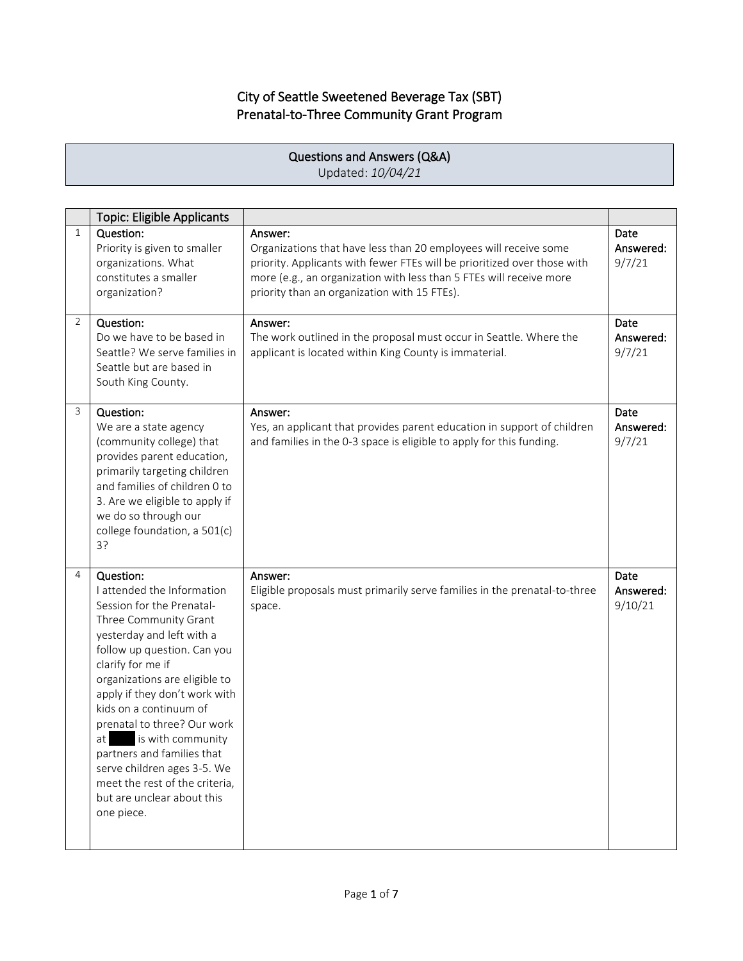## City of Seattle Sweetened Beverage Tax (SBT) Prenatal-to-Three Community Grant Program

Г

|              | Questions and Answers (Q&A)<br>Updated: 10/04/21                                                                                                                                                                                                                                                                                                                                                                                                                                |                                                                                                                                                                                                                                                                                |                              |  |
|--------------|---------------------------------------------------------------------------------------------------------------------------------------------------------------------------------------------------------------------------------------------------------------------------------------------------------------------------------------------------------------------------------------------------------------------------------------------------------------------------------|--------------------------------------------------------------------------------------------------------------------------------------------------------------------------------------------------------------------------------------------------------------------------------|------------------------------|--|
|              |                                                                                                                                                                                                                                                                                                                                                                                                                                                                                 |                                                                                                                                                                                                                                                                                |                              |  |
|              | <b>Topic: Eligible Applicants</b>                                                                                                                                                                                                                                                                                                                                                                                                                                               |                                                                                                                                                                                                                                                                                |                              |  |
| $\mathbf{1}$ | Question:<br>Priority is given to smaller<br>organizations. What<br>constitutes a smaller<br>organization?                                                                                                                                                                                                                                                                                                                                                                      | Answer:<br>Organizations that have less than 20 employees will receive some<br>priority. Applicants with fewer FTEs will be prioritized over those with<br>more (e.g., an organization with less than 5 FTEs will receive more<br>priority than an organization with 15 FTEs). | Date<br>Answered:<br>9/7/21  |  |
| 2            | Question:<br>Do we have to be based in<br>Seattle? We serve families in<br>Seattle but are based in<br>South King County.                                                                                                                                                                                                                                                                                                                                                       | Answer:<br>The work outlined in the proposal must occur in Seattle. Where the<br>applicant is located within King County is immaterial.                                                                                                                                        | Date<br>Answered:<br>9/7/21  |  |
| 3            | Question:<br>We are a state agency<br>(community college) that<br>provides parent education,<br>primarily targeting children<br>and families of children 0 to<br>3. Are we eligible to apply if<br>we do so through our<br>college foundation, a 501(c)<br>3?                                                                                                                                                                                                                   | Answer:<br>Yes, an applicant that provides parent education in support of children<br>and families in the 0-3 space is eligible to apply for this funding.                                                                                                                     | Date<br>Answered:<br>9/7/21  |  |
| 4            | Question:<br>I attended the Information<br>Session for the Prenatal-<br>Three Community Grant<br>yesterday and left with a<br>follow up question. Can you<br>clarify for me if<br>organizations are eligible to<br>apply if they don't work with<br>kids on a continuum of<br>prenatal to three? Our work<br>is with community<br>at<br>partners and families that<br>serve children ages 3-5. We<br>meet the rest of the criteria,<br>but are unclear about this<br>one piece. | Answer:<br>Eligible proposals must primarily serve families in the prenatal-to-three<br>space.                                                                                                                                                                                 | Date<br>Answered:<br>9/10/21 |  |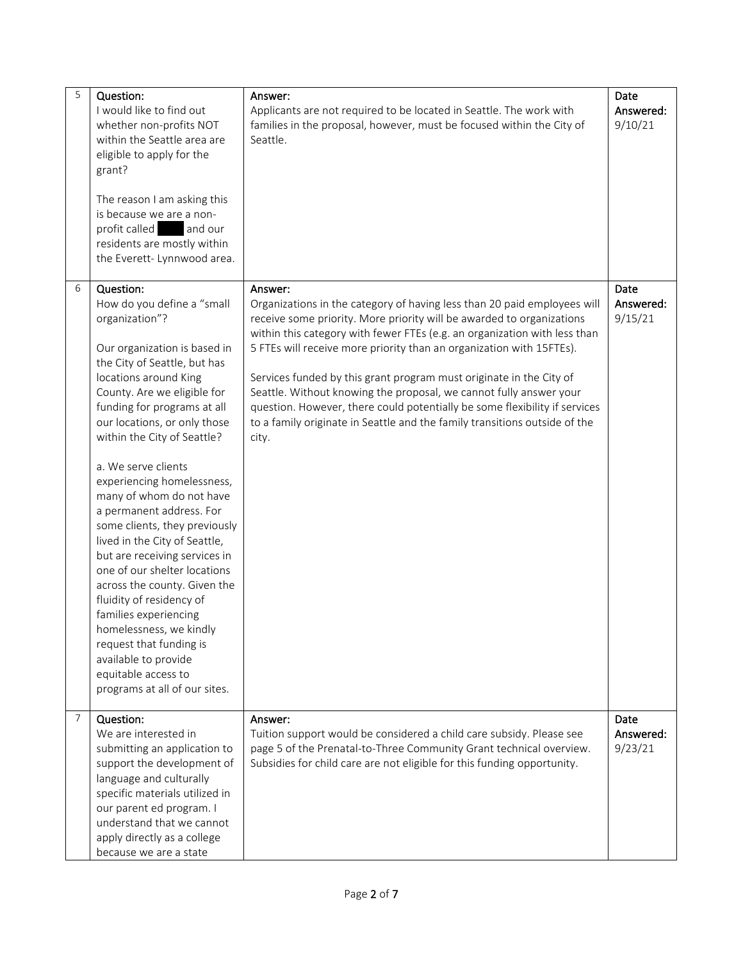| 5              | Question:<br>I would like to find out<br>whether non-profits NOT<br>within the Seattle area are<br>eligible to apply for the<br>grant?<br>The reason I am asking this<br>is because we are a non-<br>profit called<br>and our<br>residents are mostly within<br>the Everett- Lynnwood area.                                                                                                                                                                                                                                                                                                                                                                                                                                                                | Answer:<br>Applicants are not required to be located in Seattle. The work with<br>families in the proposal, however, must be focused within the City of<br>Seattle.                                                                                                                                                                                                                                                                                                                                                                                                                                                                 | Date<br>Answered:<br>9/10/21 |
|----------------|------------------------------------------------------------------------------------------------------------------------------------------------------------------------------------------------------------------------------------------------------------------------------------------------------------------------------------------------------------------------------------------------------------------------------------------------------------------------------------------------------------------------------------------------------------------------------------------------------------------------------------------------------------------------------------------------------------------------------------------------------------|-------------------------------------------------------------------------------------------------------------------------------------------------------------------------------------------------------------------------------------------------------------------------------------------------------------------------------------------------------------------------------------------------------------------------------------------------------------------------------------------------------------------------------------------------------------------------------------------------------------------------------------|------------------------------|
| 6              | Question:<br>How do you define a "small<br>organization"?<br>Our organization is based in<br>the City of Seattle, but has<br>locations around King<br>County. Are we eligible for<br>funding for programs at all<br>our locations, or only those<br>within the City of Seattle?<br>a. We serve clients<br>experiencing homelessness,<br>many of whom do not have<br>a permanent address. For<br>some clients, they previously<br>lived in the City of Seattle,<br>but are receiving services in<br>one of our shelter locations<br>across the county. Given the<br>fluidity of residency of<br>families experiencing<br>homelessness, we kindly<br>request that funding is<br>available to provide<br>equitable access to<br>programs at all of our sites. | Answer:<br>Organizations in the category of having less than 20 paid employees will<br>receive some priority. More priority will be awarded to organizations<br>within this category with fewer FTEs (e.g. an organization with less than<br>5 FTEs will receive more priority than an organization with 15FTEs).<br>Services funded by this grant program must originate in the City of<br>Seattle. Without knowing the proposal, we cannot fully answer your<br>question. However, there could potentially be some flexibility if services<br>to a family originate in Seattle and the family transitions outside of the<br>city. | Date<br>Answered:<br>9/15/21 |
| $\overline{7}$ | Question:<br>We are interested in<br>submitting an application to<br>support the development of<br>language and culturally<br>specific materials utilized in<br>our parent ed program. I<br>understand that we cannot<br>apply directly as a college<br>because we are a state                                                                                                                                                                                                                                                                                                                                                                                                                                                                             | Answer:<br>Tuition support would be considered a child care subsidy. Please see<br>page 5 of the Prenatal-to-Three Community Grant technical overview.<br>Subsidies for child care are not eligible for this funding opportunity.                                                                                                                                                                                                                                                                                                                                                                                                   | Date<br>Answered:<br>9/23/21 |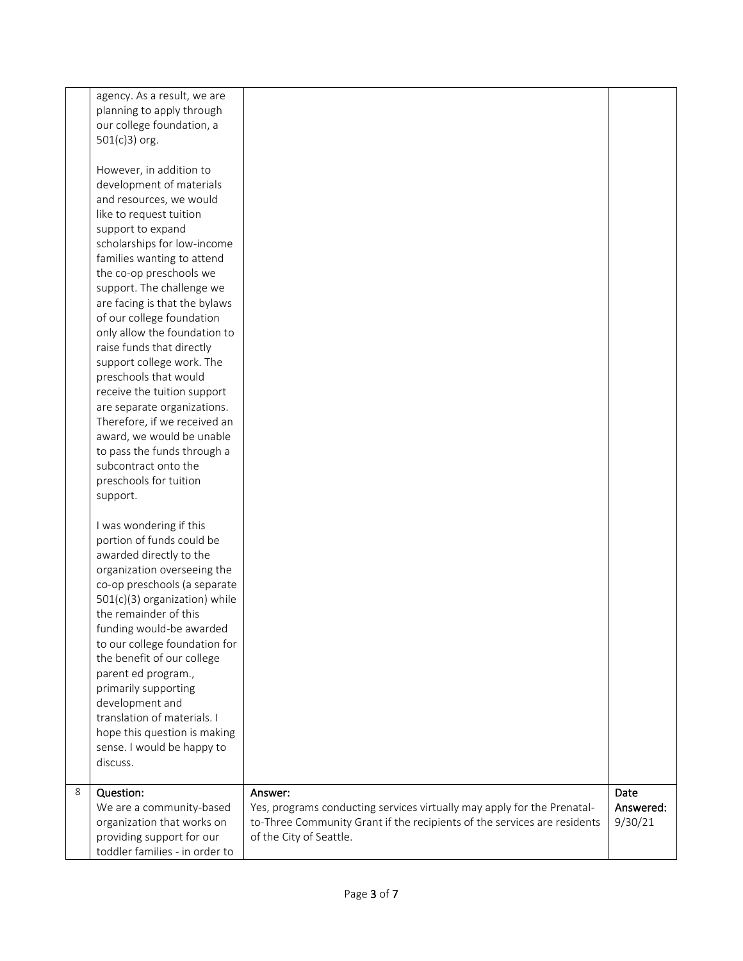|   | agency. As a result, we are<br>planning to apply through<br>our college foundation, a |                                                                          |           |
|---|---------------------------------------------------------------------------------------|--------------------------------------------------------------------------|-----------|
|   | 501(c)3) org.<br>However, in addition to                                              |                                                                          |           |
|   | development of materials                                                              |                                                                          |           |
|   | and resources, we would                                                               |                                                                          |           |
|   | like to request tuition                                                               |                                                                          |           |
|   | support to expand                                                                     |                                                                          |           |
|   | scholarships for low-income                                                           |                                                                          |           |
|   | families wanting to attend                                                            |                                                                          |           |
|   | the co-op preschools we                                                               |                                                                          |           |
|   | support. The challenge we                                                             |                                                                          |           |
|   | are facing is that the bylaws                                                         |                                                                          |           |
|   | of our college foundation<br>only allow the foundation to                             |                                                                          |           |
|   | raise funds that directly                                                             |                                                                          |           |
|   | support college work. The                                                             |                                                                          |           |
|   | preschools that would                                                                 |                                                                          |           |
|   | receive the tuition support                                                           |                                                                          |           |
|   | are separate organizations.                                                           |                                                                          |           |
|   | Therefore, if we received an                                                          |                                                                          |           |
|   | award, we would be unable                                                             |                                                                          |           |
|   | to pass the funds through a                                                           |                                                                          |           |
|   | subcontract onto the                                                                  |                                                                          |           |
|   | preschools for tuition                                                                |                                                                          |           |
|   | support.                                                                              |                                                                          |           |
|   | I was wondering if this                                                               |                                                                          |           |
|   | portion of funds could be                                                             |                                                                          |           |
|   | awarded directly to the                                                               |                                                                          |           |
|   | organization overseeing the                                                           |                                                                          |           |
|   | co-op preschools (a separate                                                          |                                                                          |           |
|   | 501(c)(3) organization) while                                                         |                                                                          |           |
|   | the remainder of this                                                                 |                                                                          |           |
|   | funding would-be awarded                                                              |                                                                          |           |
|   | to our college foundation for<br>the benefit of our college                           |                                                                          |           |
|   | parent ed program.,                                                                   |                                                                          |           |
|   | primarily supporting                                                                  |                                                                          |           |
|   | development and                                                                       |                                                                          |           |
|   | translation of materials. I                                                           |                                                                          |           |
|   | hope this question is making                                                          |                                                                          |           |
|   | sense. I would be happy to                                                            |                                                                          |           |
|   | discuss.                                                                              |                                                                          |           |
| 8 | Question:                                                                             | Answer:                                                                  | Date      |
|   | We are a community-based                                                              | Yes, programs conducting services virtually may apply for the Prenatal-  | Answered: |
|   | organization that works on                                                            | to-Three Community Grant if the recipients of the services are residents | 9/30/21   |
|   | providing support for our                                                             | of the City of Seattle.                                                  |           |
|   | toddler families - in order to                                                        |                                                                          |           |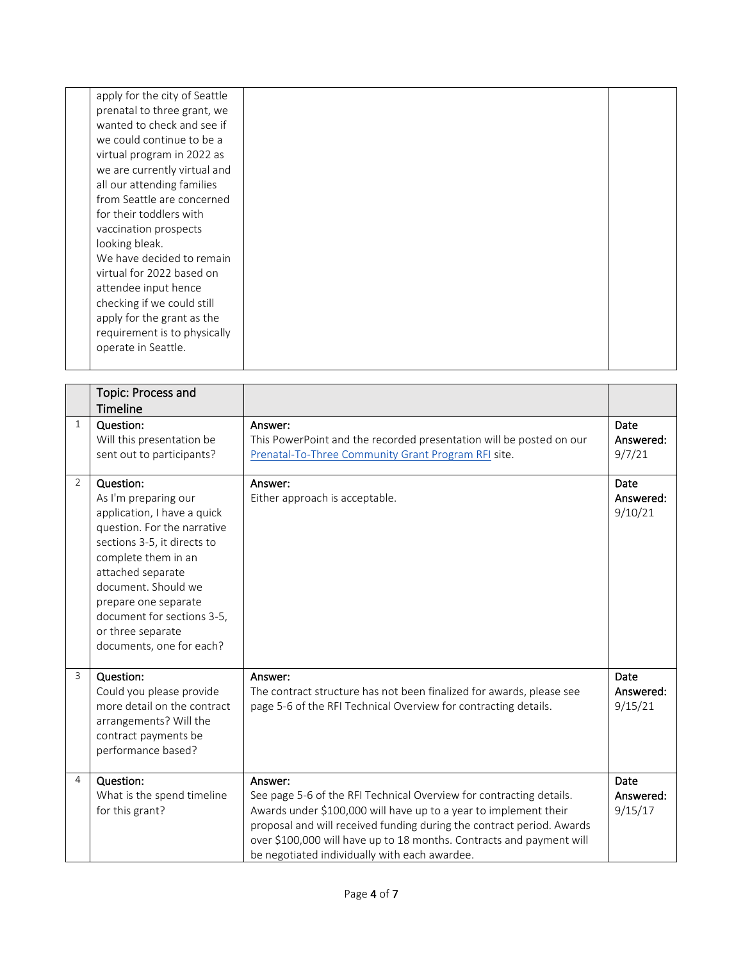| apply for the city of Seattle<br>prenatal to three grant, we<br>wanted to check and see if<br>we could continue to be a<br>virtual program in 2022 as<br>we are currently virtual and<br>all our attending families<br>from Seattle are concerned |  |
|---------------------------------------------------------------------------------------------------------------------------------------------------------------------------------------------------------------------------------------------------|--|
| for their toddlers with<br>vaccination prospects<br>looking bleak.<br>We have decided to remain<br>virtual for 2022 based on<br>attendee input hence<br>checking if we could still                                                                |  |
| apply for the grant as the<br>requirement is to physically<br>operate in Seattle.                                                                                                                                                                 |  |

|                | Topic: Process and<br><b>Timeline</b>                                                                                                                                                                                                                                                                    |                                                                                                                                                                                                                                                                                                                                                      |                                     |
|----------------|----------------------------------------------------------------------------------------------------------------------------------------------------------------------------------------------------------------------------------------------------------------------------------------------------------|------------------------------------------------------------------------------------------------------------------------------------------------------------------------------------------------------------------------------------------------------------------------------------------------------------------------------------------------------|-------------------------------------|
| $\mathbf{1}$   | Question:<br>Will this presentation be<br>sent out to participants?                                                                                                                                                                                                                                      | Answer:<br>This PowerPoint and the recorded presentation will be posted on our<br>Prenatal-To-Three Community Grant Program RFI site.                                                                                                                                                                                                                | <b>Date</b><br>Answered:<br>9/7/21  |
| $\overline{2}$ | Question:<br>As I'm preparing our<br>application, I have a quick<br>question. For the narrative<br>sections 3-5, it directs to<br>complete them in an<br>attached separate<br>document. Should we<br>prepare one separate<br>document for sections 3-5,<br>or three separate<br>documents, one for each? | Answer:<br>Either approach is acceptable.                                                                                                                                                                                                                                                                                                            | Date<br>Answered:<br>9/10/21        |
| 3              | Question:<br>Could you please provide<br>more detail on the contract<br>arrangements? Will the<br>contract payments be<br>performance based?                                                                                                                                                             | Answer:<br>The contract structure has not been finalized for awards, please see<br>page 5-6 of the RFI Technical Overview for contracting details.                                                                                                                                                                                                   | <b>Date</b><br>Answered:<br>9/15/21 |
| 4              | Question:<br>What is the spend timeline<br>for this grant?                                                                                                                                                                                                                                               | Answer:<br>See page 5-6 of the RFI Technical Overview for contracting details.<br>Awards under \$100,000 will have up to a year to implement their<br>proposal and will received funding during the contract period. Awards<br>over \$100,000 will have up to 18 months. Contracts and payment will<br>be negotiated individually with each awardee. | Date<br>Answered:<br>9/15/17        |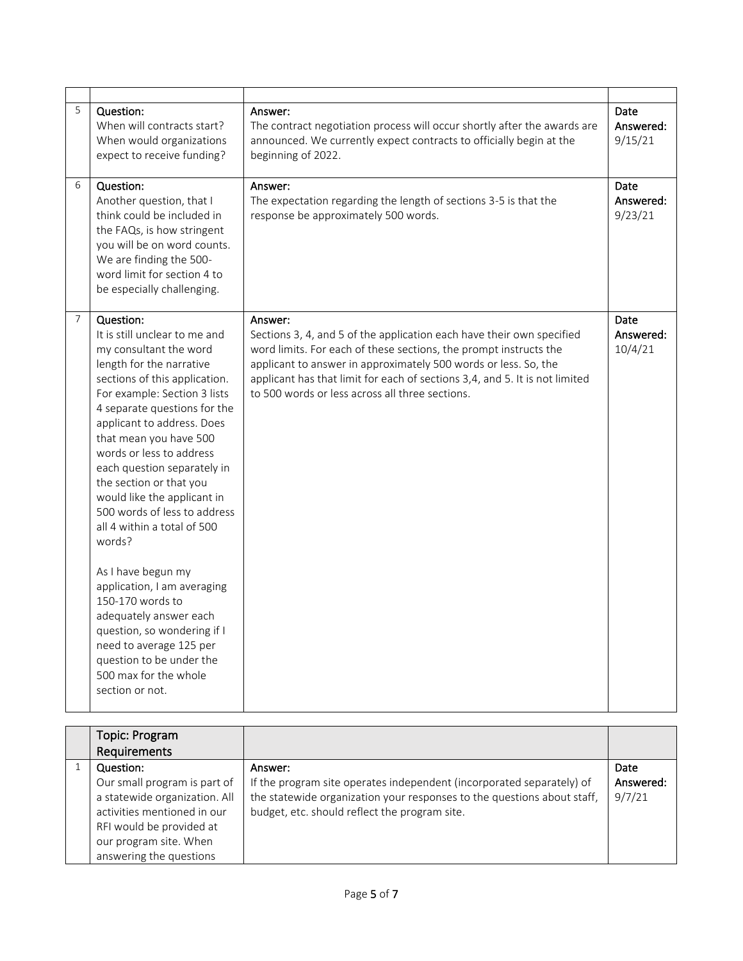| 5              | Question:<br>When will contracts start?<br>When would organizations<br>expect to receive funding?                                                                                                                                                                                                                                                                                                                                                                                                                                                                                                                                                                                            | Answer:<br>The contract negotiation process will occur shortly after the awards are<br>announced. We currently expect contracts to officially begin at the<br>beginning of 2022.                                                                                                                                                                           | Date<br>Answered:<br>9/15/21 |
|----------------|----------------------------------------------------------------------------------------------------------------------------------------------------------------------------------------------------------------------------------------------------------------------------------------------------------------------------------------------------------------------------------------------------------------------------------------------------------------------------------------------------------------------------------------------------------------------------------------------------------------------------------------------------------------------------------------------|------------------------------------------------------------------------------------------------------------------------------------------------------------------------------------------------------------------------------------------------------------------------------------------------------------------------------------------------------------|------------------------------|
| 6              | Question:<br>Another question, that I<br>think could be included in<br>the FAQs, is how stringent<br>you will be on word counts.<br>We are finding the 500-<br>word limit for section 4 to<br>be especially challenging.                                                                                                                                                                                                                                                                                                                                                                                                                                                                     | Answer:<br>The expectation regarding the length of sections 3-5 is that the<br>response be approximately 500 words.                                                                                                                                                                                                                                        | Date<br>Answered:<br>9/23/21 |
| $\overline{7}$ | Question:<br>It is still unclear to me and<br>my consultant the word<br>length for the narrative<br>sections of this application.<br>For example: Section 3 lists<br>4 separate questions for the<br>applicant to address. Does<br>that mean you have 500<br>words or less to address<br>each question separately in<br>the section or that you<br>would like the applicant in<br>500 words of less to address<br>all 4 within a total of 500<br>words?<br>As I have begun my<br>application, I am averaging<br>150-170 words to<br>adequately answer each<br>question, so wondering if I<br>need to average 125 per<br>question to be under the<br>500 max for the whole<br>section or not. | Answer:<br>Sections 3, 4, and 5 of the application each have their own specified<br>word limits. For each of these sections, the prompt instructs the<br>applicant to answer in approximately 500 words or less. So, the<br>applicant has that limit for each of sections 3,4, and 5. It is not limited<br>to 500 words or less across all three sections. | Date<br>Answered:<br>10/4/21 |

| Topic: Program                |                                                                         |           |
|-------------------------------|-------------------------------------------------------------------------|-----------|
| Requirements                  |                                                                         |           |
| Question:                     | Answer:                                                                 | Date      |
| Our small program is part of  | If the program site operates independent (incorporated separately) of   | Answered: |
| a statewide organization. All | the statewide organization your responses to the questions about staff, | 9/7/21    |
| activities mentioned in our   | budget, etc. should reflect the program site.                           |           |
| RFI would be provided at      |                                                                         |           |
| our program site. When        |                                                                         |           |
| answering the questions       |                                                                         |           |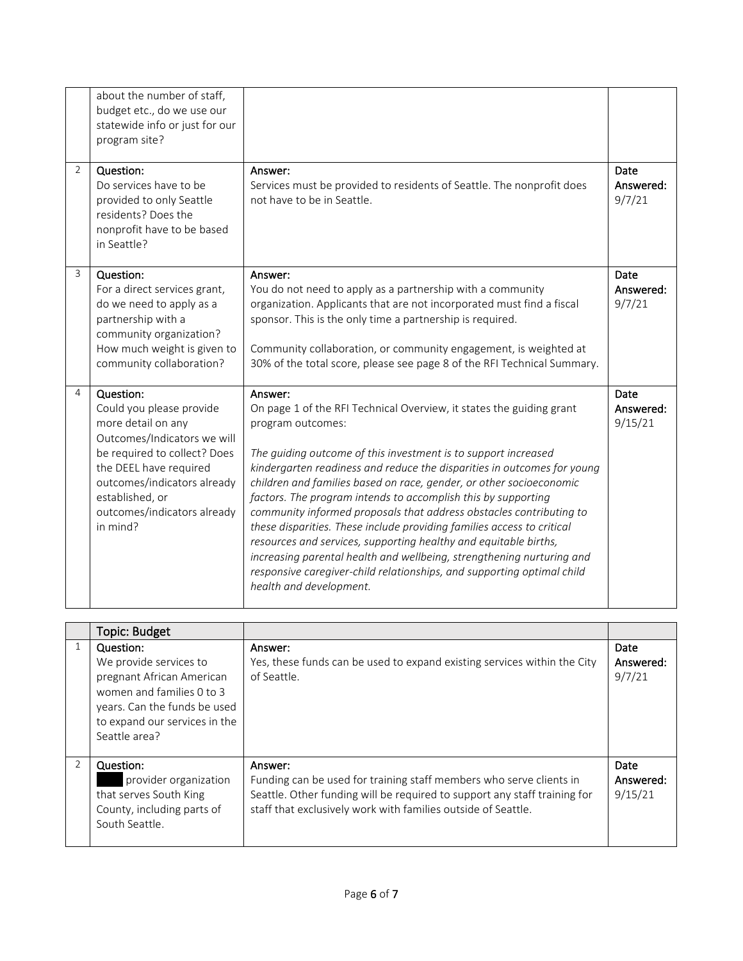| $\overline{2}$ | about the number of staff,<br>budget etc., do we use our<br>statewide info or just for our<br>program site?<br>Question:<br>Do services have to be<br>provided to only Seattle<br>residents? Does the<br>nonprofit have to be based<br>in Seattle? | Answer:<br>Services must be provided to residents of Seattle. The nonprofit does<br>not have to be in Seattle.                                                                                                                                                                                                                                                                                                                                                                                                                                                                                                                                                                                                                                                                               | Date<br>Answered:<br>9/7/21  |
|----------------|----------------------------------------------------------------------------------------------------------------------------------------------------------------------------------------------------------------------------------------------------|----------------------------------------------------------------------------------------------------------------------------------------------------------------------------------------------------------------------------------------------------------------------------------------------------------------------------------------------------------------------------------------------------------------------------------------------------------------------------------------------------------------------------------------------------------------------------------------------------------------------------------------------------------------------------------------------------------------------------------------------------------------------------------------------|------------------------------|
| $\overline{3}$ | Question:<br>For a direct services grant,<br>do we need to apply as a<br>partnership with a<br>community organization?<br>How much weight is given to<br>community collaboration?                                                                  | Answer:<br>You do not need to apply as a partnership with a community<br>organization. Applicants that are not incorporated must find a fiscal<br>sponsor. This is the only time a partnership is required.<br>Community collaboration, or community engagement, is weighted at<br>30% of the total score, please see page 8 of the RFI Technical Summary.                                                                                                                                                                                                                                                                                                                                                                                                                                   | Date<br>Answered:<br>9/7/21  |
| 4              | Question:<br>Could you please provide<br>more detail on any<br>Outcomes/Indicators we will<br>be required to collect? Does<br>the DEEL have required<br>outcomes/indicators already<br>established, or<br>outcomes/indicators already<br>in mind?  | Answer:<br>On page 1 of the RFI Technical Overview, it states the guiding grant<br>program outcomes:<br>The guiding outcome of this investment is to support increased<br>kindergarten readiness and reduce the disparities in outcomes for young<br>children and families based on race, gender, or other socioeconomic<br>factors. The program intends to accomplish this by supporting<br>community informed proposals that address obstacles contributing to<br>these disparities. These include providing families access to critical<br>resources and services, supporting healthy and equitable births,<br>increasing parental health and wellbeing, strengthening nurturing and<br>responsive caregiver-child relationships, and supporting optimal child<br>health and development. | Date<br>Answered:<br>9/15/21 |

| Topic: Budget                                                                                                                                                                   |                                                                                                                                                                                                                              |                              |
|---------------------------------------------------------------------------------------------------------------------------------------------------------------------------------|------------------------------------------------------------------------------------------------------------------------------------------------------------------------------------------------------------------------------|------------------------------|
| Question:<br>We provide services to<br>pregnant African American<br>women and families 0 to 3<br>years. Can the funds be used<br>to expand our services in the<br>Seattle area? | Answer:<br>Yes, these funds can be used to expand existing services within the City<br>of Seattle.                                                                                                                           | Date<br>Answered:<br>9/7/21  |
| Question:<br>provider organization<br>that serves South King<br>County, including parts of<br>South Seattle.                                                                    | Answer:<br>Funding can be used for training staff members who serve clients in<br>Seattle. Other funding will be required to support any staff training for<br>staff that exclusively work with families outside of Seattle. | Date<br>Answered:<br>9/15/21 |